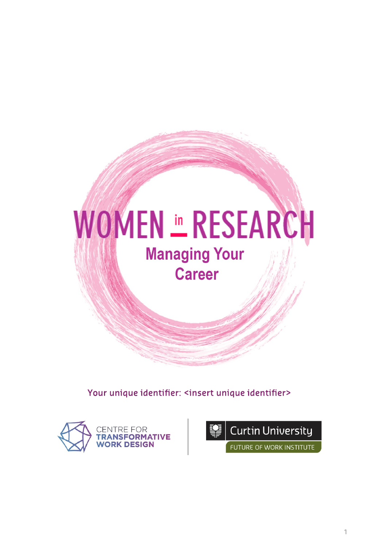

Your unique identifier: <insert unique identifier>



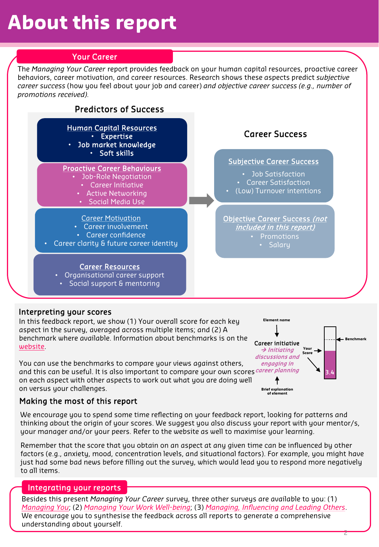# **About this report**

# Your Career

The *Managing Your Career* report provides feedback on your human capital resources, proactive career behaviors, career motivation, and career resources. Research shows these aspects predict *subjective career success* (how you feel about your job and career) *and objective career success (e.g., number of promotions received).* 



# Interpreting your scores

In this feedback report, we show (1) Your overall score for each key aspect in the survey, averaged across multiple items; and (2) A benchmark where available. Information about benchmarks is on the [website](https://carolekatz.wixsite.com/womeninresearchbold/surveys).

You can use the benchmarks to compare your views against others, and this can be useful. It is also important to compare your own scores*<sup>career planning*</sup> on each aspect with other aspects to work out what you are doing well on versus your challenges.



# Making the most of this report

We encourage you to spend some time reflecting on your feedback report, looking for patterns and thinking about the origin of your scores. We suggest you also discuss your report with your mentor/s, your manager and/or your peers. Refer to the website as well to maximise your learning.

Remember that the score that you obtain on an aspect at any given time can be influenced by other factors (e.g., anxiety, mood, concentration levels, and situational factors). For example, you might have just had some bad news before filling out the survey, which would lead you to respond more negatively to all items.

# Integrating your reports

Besides this present *Managing Your Career s*urvey, three other surveys are available to you: (1) *[Managing You](https://www.womeninresearch.org.au/surveys)*; (2) *[Managing Your Work Well-being](https://www.womeninresearch.org.au/surveys)*; (3) *[Managing, Influencing and Leading Others](https://www.womeninresearch.org.au/surveys)*. We encourage you to synthesise the feedback across all reports to generate a comprehensive understanding about yourself.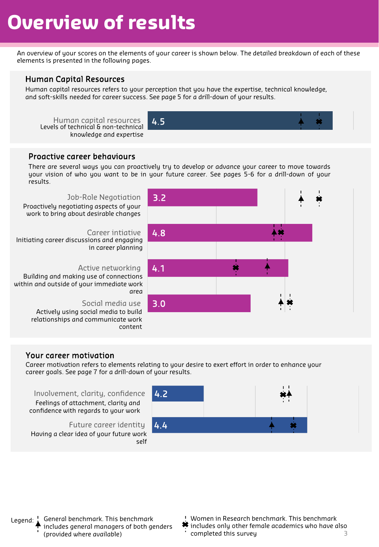# **Overview of results**

An overview of your scores on the elements of your career is shown below. The detailed breakdown of each of these elements is presented in the following pages.

## Human Capital Resources

Human capital resources refers to your perception that you have the expertise, technical knowledge, and soft-skills needed for career success. See page 5 for a drill-down of your results.

Human capital resources 4.5 Levels of technical & non-technical knowledge and expertise



## Proactive career behaviours

There are several ways you can proactively try to develop or advance your career to move towards your vision of who you want to be in your future career. See pages 5-6 for a drill-down of your results.

#### Job-Role Negotiation

Proactively negotiating aspects of your work to bring about desirable changes

#### Career intiative

Initiating career discussions and engaging in career planning

#### Active networking

Building and making use of connections within and outside of your immediate work area

#### Social media use

Actively using social media to build relationships and communicate work content



#### Your career motivation

Career motivation refers to elements relating to your desire to exert effort in order to enhance your career goals. See page 7 for a drill-down of your results.

Involvement, clarity, confidence Feelings of attachment, clarity and confidence with regards to your work

Future career identity Having a clear idea of your future work self



Legend: General benchmark. This benchmark includes general managers of both genders (provided where available)

- Women in Research benchmark. This benchmark
- $\clubsuit$  includes only other female academics who have also completed this survey 3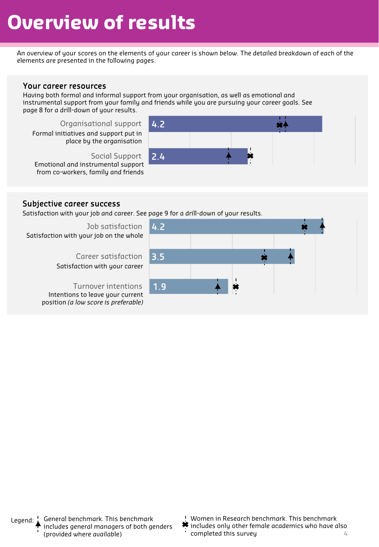# **Overview of results**

An overview of your scores on the elements of your career is shown below. The detailed breakdown of each of the elements are presented in the following pages.

#### Your career resources

Having both formal and informal support from your organisation, as well as emotional and instrumental support from your family and friends while you are pursuing your career goals. See page 8 for a drill-down of your results.

Organisational support Formal initiatives and support put in place by the organisation

Social Support Emotional and instrumental support from co-workers, family and friends



## Subjective career success

Satisfaction with your job and career. See page 9 for a drill-down of your results.

Job satisfaction Satisfaction with your job on the whole

> Career satisfaction Satisfaction with your career

Turnover intentions Intentions to leave your current position *(a low score is preferable)*



- Women in Research benchmark. This benchmark
- $\clubsuit$  includes only other female academics who have also completed this survey 4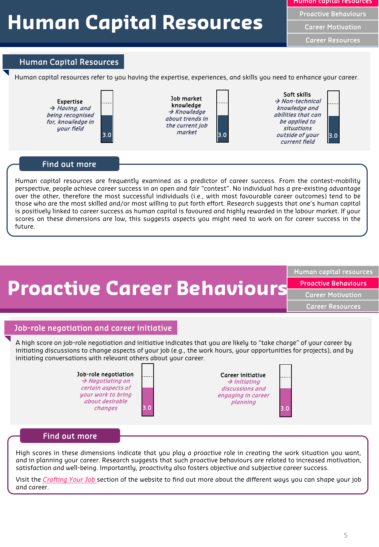# **Human Capital Resources**

Career Motivation

Career Resources

# Human Capital Resources

Human capital resources refer to you having the expertise, experiences, and skills you need to enhance your career.



### Find out more

Human capital resources are frequently examined as a predictor of career success. From the contest-mobility perspective, people achieve career success in an open and fair "contest". No individual has a pre-existing advantage over the other, therefore the most successful individuals (i.e., with most favourable career outcomes) tend to be those who are the most skilled and/or most willing to put forth effort. Research suggests that one's human capital is positively linked to career success as human capital is favoured and highly rewarded in the labour market. If your scores on these dimensions are low, this suggests aspects you might need to work on for career success in the future.



Human capital resources

Proactive Behaviours

Career Motivation

Career Resources

# Job-role negotiation and career initiative

A high score on job-role negotiation and initiative indicates that you are likely to "take charge" of your career by initiating discussions to change aspects of your job (e.g., the work hours, your opportunities for projects), and by initiating conversations with relevant others about your career.





#### Find out more

High scores in these dimensions indicate that you play a proactive role in creating the work situation you want, and in planning your career. Research suggests that such proactive behaviours are related to increased motivation, satisfaction and well-being. Importantly, proactivity also fosters objective and subjective career success.

Visit the *[Crafting](https://carolekatz.wixsite.com/womeninresearchbold/job-crafting) Your Job* section of the website to find out more about the different ways you can shape your job and career.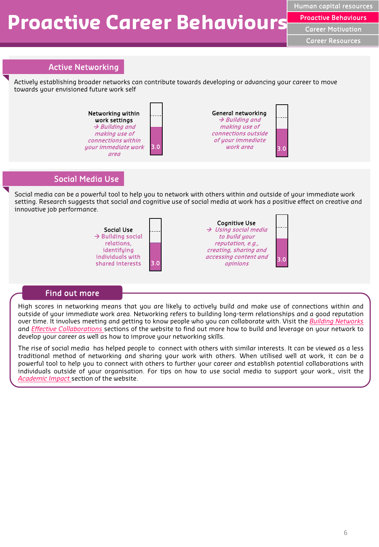# **Proactive Career Behaviours**

Human capital resources Proactive Behaviours Career Motivation Career Resources

# Active Networking

Actively establishing broader networks can contribute towards developing or advancing your career to move towards your envisioned future work self



### Social Media Use

Social media can be a powerful tool to help you to network with others within and outside of your immediate work setting. Research suggests that social and cognitive use of social media at work has a positive effect on creative and innovative job performance.



# Find out more

High scores in networking means that you are likely to actively build and make use of connections within and outside of your immediate work area. Networking refers to building long-term relationships and a good reputation over time. It involves meeting and getting to know people who you can collaborate with. Visit the *Building [Networks](https://carolekatz.wixsite.com/womeninresearchbold/building-networks)* and *Effective [Collaborations](https://carolekatz.wixsite.com/womeninresearchbold/collaboration)* sections of the website to find out more how to build and leverage on your network to develop your career as well as how to improve your networking skills.

The rise of social media has helped people to connect with others with similar interests. It can be viewed as a less traditional method of networking and sharing your work with others. When utilised well at work, it can be a powerful tool to help you to connect with others to further your career and establish potential collaborations with individuals outside of your organisation. For tips on how to use social media to support your work., visit the *[Academic](https://carolekatz.wixsite.com/womeninresearchbold/academic-impact) Impact* section of the website.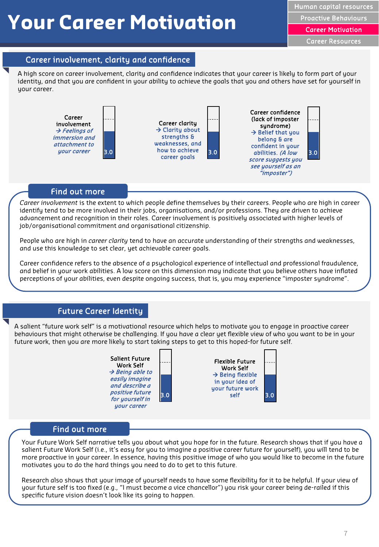# **Your Career Motivation**

Career Motivation

Career Resources

### Career involvement, clarity and confidence

A high score on career involvement, clarity and confidence indicates that your career is likely to form part of your identity, and that you are confident in your ability to achieve the goals that you and others have set for yourself in your career.



#### Find out more

*Career involvement* is the extent to which people define themselves by their careers. People who are high in career identify tend to be more involved in their jobs, organisations, and/or professions. They are driven to achieve advancement and recognition in their roles. Career involvement is positively associated with higher levels of job/organisational commitment and organisational citizenship.

People who are high in *career clarity* tend to have an accurate understanding of their strengths and weaknesses, and use this knowledge to set clear, yet achievable career goals.

Career confidence refers to the absence of a psychological experience of intellectual and professional fraudulence, and belief in your work abilities. A low score on this dimension may indicate that you believe others have inflated perceptions of your abilities, even despite ongoing success, that is, you may experience "imposter syndrome".

### Future Career Identity

A salient "future work self" is a motivational resource which helps to motivate you to engage in proactive career behaviours that might otherwise be challenging. If you have a clear yet flexible view of who you want to be in your future work, then you are more likely to start taking steps to get to this hoped-for future self.





#### Find out more

Your Future Work Self narrative tells you about what you hope for in the future. Research shows that if you have a salient Future Work Self (i.e., it's easy for you to imagine a positive career future for yourself), you will tend to be more proactive in your career. In essence, having this positive image of who you would like to become in the future motivates you to do the hard things you need to do to get to this future.

Research also shows that your image of yourself needs to have some flexibility for it to be helpful. If your view of your future self is too fixed (e.g., "I must become a vice chancellor") you risk your career being de-railed if this specific future vision doesn't look like its going to happen.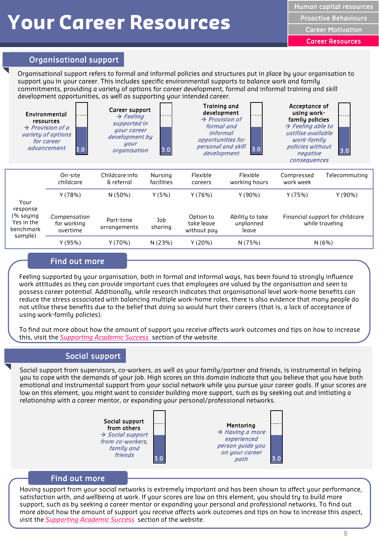# **Your Career Resources**

Human capital resources

Proactive Behaviours

Career Motivation

Career Resources

# Organisational support

Organisational support refers to formal and informal policies and structures put in place by your organisation to support you in your career. This includes specific environmental supports to balance work and family commitments, providing a variety of options for career development, formal and informal training and skill development opportunities, as well as supporting your intended career.

| Environmental<br>resources<br>$\rightarrow$ Provision of a<br>variety of options<br>for career<br><i>advancement</i><br>3.0 |                                         | Career support<br>$\rightarrow$ Feeling<br>supported in<br>your career<br>development by<br>your<br>3.0<br>organisation |                       | Training and<br>development<br>$\rightarrow$ Provision of<br>formal and<br><i>informal</i><br>opportunities for<br>personal and skill<br>3.0<br>development |                                       | Acceptance of<br>using work-<br>family policies<br>$\rightarrow$ Feeling able to<br>ustilise available<br>work-family<br>policies without<br>3.0<br>negative<br>consequences |               |
|-----------------------------------------------------------------------------------------------------------------------------|-----------------------------------------|-------------------------------------------------------------------------------------------------------------------------|-----------------------|-------------------------------------------------------------------------------------------------------------------------------------------------------------|---------------------------------------|------------------------------------------------------------------------------------------------------------------------------------------------------------------------------|---------------|
|                                                                                                                             | On-site<br>childcare                    | Childcare info<br>& referral                                                                                            | Nursing<br>facilities | Flexible<br>careers                                                                                                                                         | Flexible<br>working hours             | Compressed<br>work week                                                                                                                                                      | Telecommuting |
| Your<br>response                                                                                                            | Y(78%)                                  | N(50%)                                                                                                                  | Y(5%)                 | Y(76%)                                                                                                                                                      | Y(90%)                                | Y(75%)                                                                                                                                                                       | $Y(90\%)$     |
| (% saying<br>Yes in the<br>benchmark<br>sample)                                                                             | Compensation<br>for working<br>overtime | Part-time<br>arrangements                                                                                               | Job<br>sharing        | Option to<br>take leave<br>without pay                                                                                                                      | Ability to take<br>unplanned<br>leave | Financial support for childcare<br>while traveling                                                                                                                           |               |
|                                                                                                                             | Y(95%)                                  | Y(70%)                                                                                                                  | N (23%)               | Y(20%)                                                                                                                                                      | N (75%)                               | N(6%)                                                                                                                                                                        |               |
|                                                                                                                             |                                         |                                                                                                                         |                       |                                                                                                                                                             |                                       |                                                                                                                                                                              |               |

# Find out more

Feeling supported by your organisation, both in formal and informal ways, has been found to strongly influence work attitudes as they can provide important cues that employees are valued by the organisation and seen to possess career potential. Additionally, while research indicates that organisational level work-home benefits can reduce the stress associated with balancing multiple work-home roles, there is also evidence that many people do not utilise these benefits due to the belief that doing so would hurt their careers (that is, a lack of acceptance of using work-family policies).

To find out more about how the amount of support you receive affects work outcomes and tips on how to increase this, visit the *[Supporting Academic Success](https://carolekatz.wixsite.com/womeninresearchbold/supporting-academic-success)* section of the website.

### Social support

Social support from supervisors, co-workers, as well as your family/partner and friends, is instrumental in helping you to cope with the demands of your job. High scores on this domain indicate that you believe that you have both emotional and instrumental support from your social network while you pursue your career goals. If your scores are low on this element, you might want to consider building more support, such as by seeking out and initiating a relationship with a career mentor, or expanding your personal/professional networks.



#### Find out more

Having support from your social networks is extremely important and has been shown to affect your performance, satisfaction with, and wellbeing at work. If your scores are low on this element, you should try to build more support, such as by seeking a career mentor or expanding your personal and professional networks, To find out more about how the amount of support you receive affects work outcomes and tips on how to increase this aspect, visit the *[Supporting Academic Success](https://carolekatz.wixsite.com/womeninresearchbold/supporting-academic-success)* section of the website.